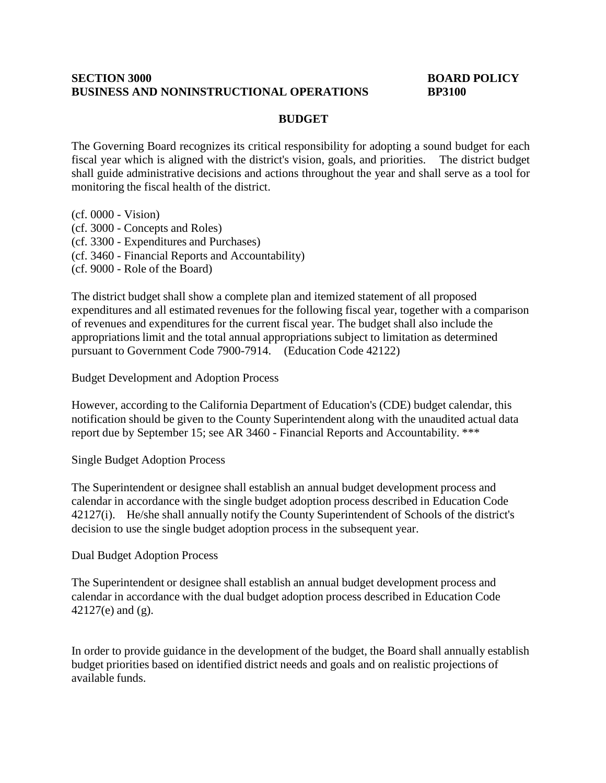#### **SECTION** 3000 **BOARD POLICY BUSINESS AND NONINSTRUCTIONAL OPERATIONS BP3100**

## **BUDGET**

The Governing Board recognizes its critical responsibility for adopting a sound budget for each fiscal year which is aligned with the district's vision, goals, and priorities. The district budget shall guide administrative decisions and actions throughout the year and shall serve as a tool for monitoring the fiscal health of the district.

(cf. 0000 - Vision)

- (cf. 3000 Concepts and Roles)
- (cf. 3300 Expenditures and Purchases)
- (cf. 3460 Financial Reports and Accountability)
- (cf. 9000 Role of the Board)

The district budget shall show a complete plan and itemized statement of all proposed expenditures and all estimated revenues for the following fiscal year, together with a comparison of revenues and expenditures for the current fiscal year. The budget shall also include the appropriations limit and the total annual appropriations subject to limitation as determined pursuant to Government Code 7900-7914. (Education Code 42122)

Budget Development and Adoption Process

However, according to the California Department of Education's (CDE) budget calendar, this notification should be given to the County Superintendent along with the unaudited actual data report due by September 15; see AR 3460 - Financial Reports and Accountability. \*\*\*

Single Budget Adoption Process

The Superintendent or designee shall establish an annual budget development process and calendar in accordance with the single budget adoption process described in Education Code 42127(i). He/she shall annually notify the County Superintendent of Schools of the district's decision to use the single budget adoption process in the subsequent year.

Dual Budget Adoption Process

The Superintendent or designee shall establish an annual budget development process and calendar in accordance with the dual budget adoption process described in Education Code 42127(e) and (g).

In order to provide guidance in the development of the budget, the Board shall annually establish budget priorities based on identified district needs and goals and on realistic projections of available funds.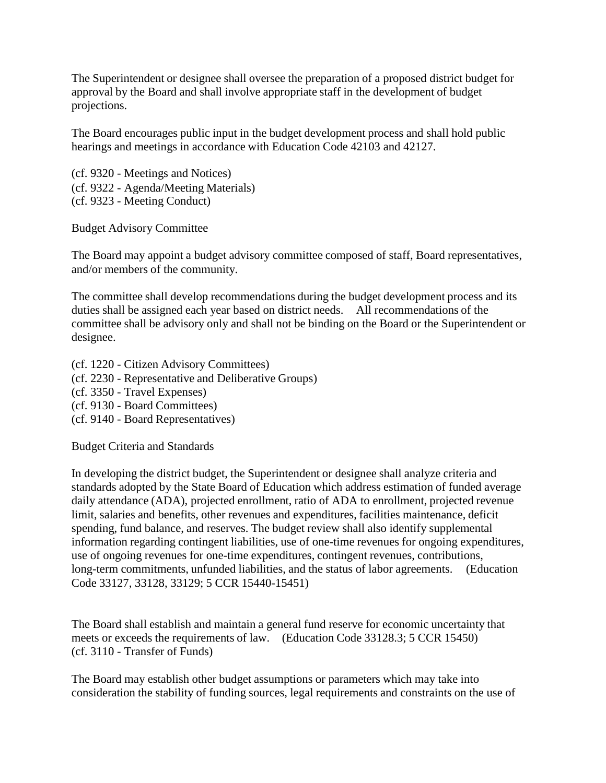The Superintendent or designee shall oversee the preparation of a proposed district budget for approval by the Board and shall involve appropriate staff in the development of budget projections.

The Board encourages public input in the budget development process and shall hold public hearings and meetings in accordance with Education Code 42103 and 42127.

(cf. 9320 - Meetings and Notices) (cf. 9322 - Agenda/Meeting Materials) (cf. 9323 - Meeting Conduct)

Budget Advisory Committee

The Board may appoint a budget advisory committee composed of staff, Board representatives, and/or members of the community.

The committee shall develop recommendations during the budget development process and its duties shall be assigned each year based on district needs. All recommendations of the committee shall be advisory only and shall not be binding on the Board or the Superintendent or designee.

- (cf. 1220 Citizen Advisory Committees)
- (cf. 2230 Representative and Deliberative Groups)
- (cf. 3350 Travel Expenses)
- (cf. 9130 Board Committees)
- (cf. 9140 Board Representatives)

Budget Criteria and Standards

In developing the district budget, the Superintendent or designee shall analyze criteria and standards adopted by the State Board of Education which address estimation of funded average daily attendance (ADA), projected enrollment, ratio of ADA to enrollment, projected revenue limit, salaries and benefits, other revenues and expenditures, facilities maintenance, deficit spending, fund balance, and reserves. The budget review shall also identify supplemental information regarding contingent liabilities, use of one-time revenues for ongoing expenditures, use of ongoing revenues for one-time expenditures, contingent revenues, contributions, long-term commitments, unfunded liabilities, and the status of labor agreements. (Education Code 33127, 33128, 33129; 5 CCR 15440-15451)

The Board shall establish and maintain a general fund reserve for economic uncertainty that meets or exceeds the requirements of law. (Education Code 33128.3; 5 CCR 15450) (cf. 3110 - Transfer of Funds)

The Board may establish other budget assumptions or parameters which may take into consideration the stability of funding sources, legal requirements and constraints on the use of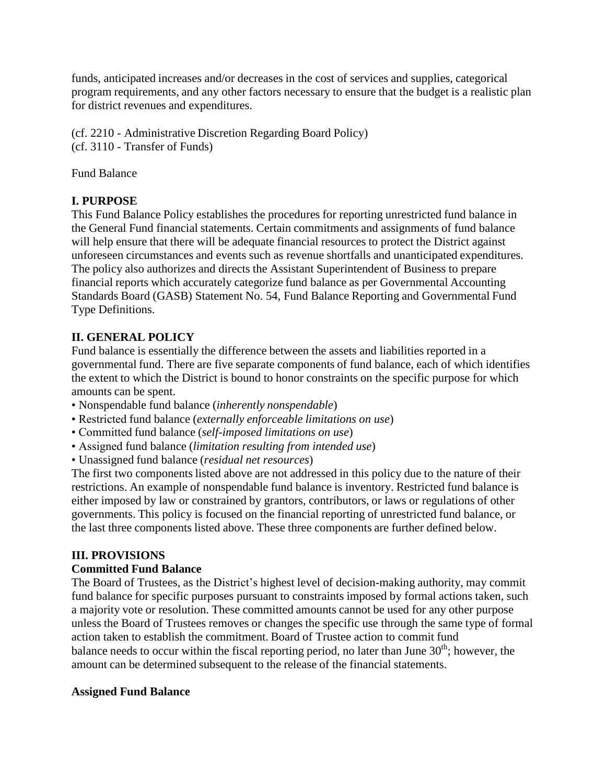funds, anticipated increases and/or decreases in the cost of services and supplies, categorical program requirements, and any other factors necessary to ensure that the budget is a realistic plan for district revenues and expenditures.

(cf. 2210 - Administrative Discretion Regarding Board Policy) (cf. 3110 - Transfer of Funds)

Fund Balance

# **I. PURPOSE**

This Fund Balance Policy establishes the procedures for reporting unrestricted fund balance in the General Fund financial statements. Certain commitments and assignments of fund balance will help ensure that there will be adequate financial resources to protect the District against unforeseen circumstances and events such as revenue shortfalls and unanticipated expenditures. The policy also authorizes and directs the Assistant Superintendent of Business to prepare financial reports which accurately categorize fund balance as per Governmental Accounting Standards Board (GASB) Statement No. 54, Fund Balance Reporting and Governmental Fund Type Definitions.

# **II. GENERAL POLICY**

Fund balance is essentially the difference between the assets and liabilities reported in a governmental fund. There are five separate components of fund balance, each of which identifies the extent to which the District is bound to honor constraints on the specific purpose for which amounts can be spent.

- Nonspendable fund balance (*inherently nonspendable*)
- Restricted fund balance (*externally enforceable limitations on use*)
- Committed fund balance (*self-imposed limitations on use*)
- Assigned fund balance (*limitation resulting from intended use*)
- Unassigned fund balance (*residual net resources*)

The first two components listed above are not addressed in this policy due to the nature of their restrictions. An example of nonspendable fund balance is inventory. Restricted fund balance is either imposed by law or constrained by grantors, contributors, or laws or regulations of other governments. This policy is focused on the financial reporting of unrestricted fund balance, or the last three components listed above. These three components are further defined below.

# **III. PROVISIONS**

# **Committed Fund Balance**

The Board of Trustees, as the District's highest level of decision-making authority, may commit fund balance for specific purposes pursuant to constraints imposed by formal actions taken, such a majority vote or resolution. These committed amounts cannot be used for any other purpose unless the Board of Trustees removes or changes the specific use through the same type of formal action taken to establish the commitment. Board of Trustee action to commit fund balance needs to occur within the fiscal reporting period, no later than June  $30<sup>th</sup>$ ; however, the amount can be determined subsequent to the release of the financial statements.

# **Assigned Fund Balance**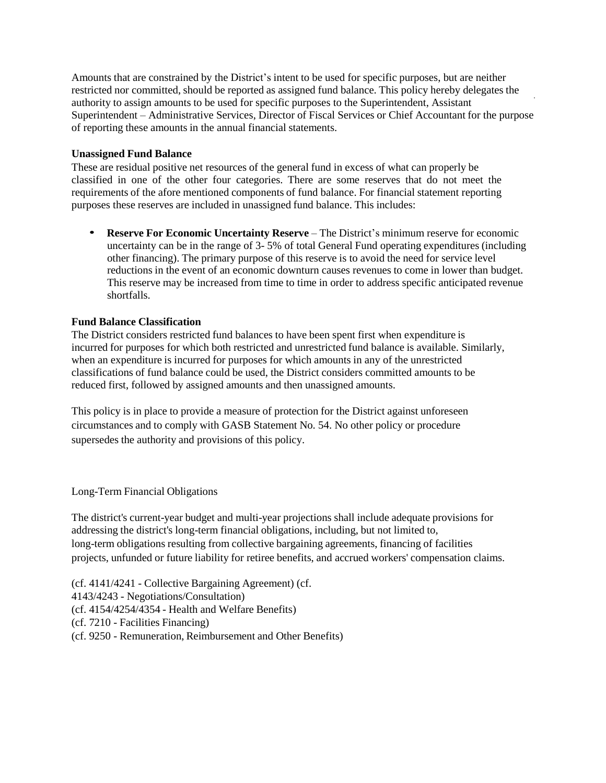Amounts that are constrained by the District's intent to be used for specific purposes, but are neither restricted nor committed, should be reported as assigned fund balance. This policy hereby delegates the authority to assign amounts to be used for specific purposes to the Superintendent, Assistant Superintendent – Administrative Services, Director of Fiscal Services or Chief Accountant for the purpose of reporting these amounts in the annual financial statements.

#### **Unassigned Fund Balance**

These are residual positive net resources of the general fund in excess of what can properly be classified in one of the other four categories. There are some reserves that do not meet the requirements of the afore mentioned components of fund balance. For financial statement reporting purposes these reserves are included in unassigned fund balance. This includes:

• **Reserve For Economic Uncertainty Reserve** – The District's minimum reserve for economic uncertainty can be in the range of 3- 5% of total General Fund operating expenditures (including other financing). The primary purpose of this reserve is to avoid the need for service level reductions in the event of an economic downturn causes revenues to come in lower than budget. This reserve may be increased from time to time in order to address specific anticipated revenue shortfalls.

### **Fund Balance Classification**

The District considers restricted fund balances to have been spent first when expenditure is incurred for purposes for which both restricted and unrestricted fund balance is available. Similarly, when an expenditure is incurred for purposes for which amounts in any of the unrestricted classifications of fund balance could be used, the District considers committed amounts to be reduced first, followed by assigned amounts and then unassigned amounts.

This policy is in place to provide a measure of protection for the District against unforeseen circumstances and to comply with GASB Statement No. 54. No other policy or procedure supersedes the authority and provisions of this policy.

## Long-Term Financial Obligations

The district's current-year budget and multi-year projections shall include adequate provisions for addressing the district's long-term financial obligations, including, but not limited to, long-term obligations resulting from collective bargaining agreements, financing of facilities projects, unfunded or future liability for retiree benefits, and accrued workers' compensation claims.

(cf. 4141/4241 - Collective Bargaining Agreement) (cf. 4143/4243 - Negotiations/Consultation) (cf. 4154/4254/4354 - Health and Welfare Benefits) (cf. 7210 - Facilities Financing) (cf. 9250 - Remuneration, Reimbursement and Other Benefits)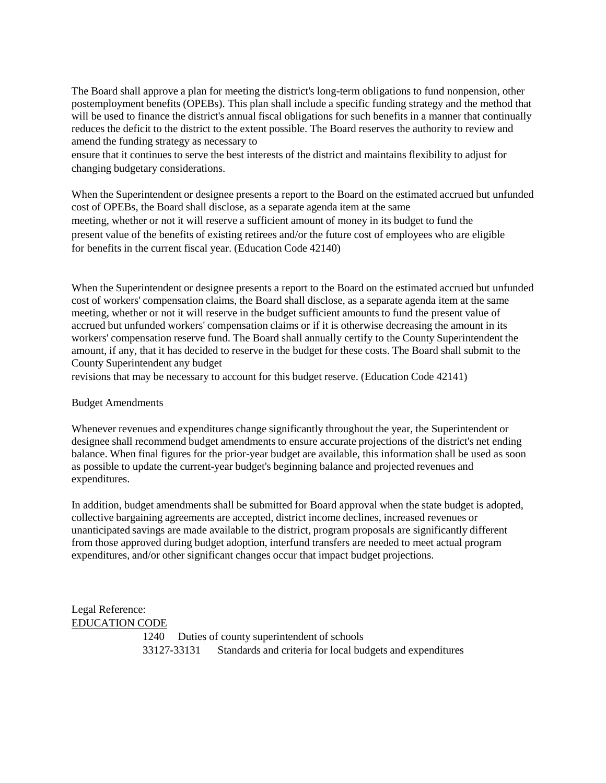The Board shall approve a plan for meeting the district's long-term obligations to fund nonpension, other postemployment benefits (OPEBs). This plan shall include a specific funding strategy and the method that will be used to finance the district's annual fiscal obligations for such benefits in a manner that continually reduces the deficit to the district to the extent possible. The Board reserves the authority to review and amend the funding strategy as necessary to

ensure that it continues to serve the best interests of the district and maintains flexibility to adjust for changing budgetary considerations.

When the Superintendent or designee presents a report to the Board on the estimated accrued but unfunded cost of OPEBs, the Board shall disclose, as a separate agenda item at the same meeting, whether or not it will reserve a sufficient amount of money in its budget to fund the present value of the benefits of existing retirees and/or the future cost of employees who are eligible for benefits in the current fiscal year. (Education Code 42140)

When the Superintendent or designee presents a report to the Board on the estimated accrued but unfunded cost of workers' compensation claims, the Board shall disclose, as a separate agenda item at the same meeting, whether or not it will reserve in the budget sufficient amounts to fund the present value of accrued but unfunded workers' compensation claims or if it is otherwise decreasing the amount in its workers' compensation reserve fund. The Board shall annually certify to the County Superintendent the amount, if any, that it has decided to reserve in the budget for these costs. The Board shall submit to the County Superintendent any budget

revisions that may be necessary to account for this budget reserve. (Education Code 42141)

#### Budget Amendments

Whenever revenues and expenditures change significantly throughout the year, the Superintendent or designee shall recommend budget amendments to ensure accurate projections of the district's net ending balance. When final figures for the prior-year budget are available, this information shall be used as soon as possible to update the current-year budget's beginning balance and projected revenues and expenditures.

In addition, budget amendments shall be submitted for Board approval when the state budget is adopted, collective bargaining agreements are accepted, district income declines, increased revenues or unanticipated savings are made available to the district, program proposals are significantly different from those approved during budget adoption, interfund transfers are needed to meet actual program expenditures, and/or other significant changes occur that impact budget projections.

### Legal Reference: EDUCATION CODE

1240 Duties of county superintendent of schools 33127-33131 Standards and criteria for local budgets and expenditures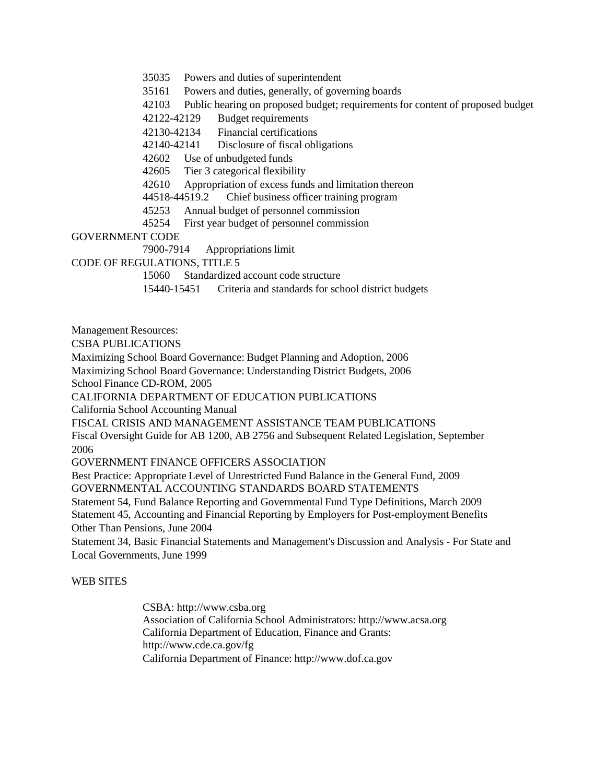35035 Powers and duties of superintendent

35161 Powers and duties, generally, of governing boards

42103 Public hearing on proposed budget; requirementsfor content of proposed budget

42122-42129 Budget requirements

42130-42134 Financial certifications

42140-42141 Disclosure of fiscal obligations

42602 Use of unbudgeted funds

42605 Tier 3 categorical flexibility

42610 Appropriation of excess funds and limitation thereon

44518-44519.2 Chief business officer training program

45253 Annual budget of personnel commission

45254 First year budget of personnel commission

#### GOVERNMENT CODE

7900-7914 Appropriations limit

CODE OF REGULATIONS, TITLE 5

15060 Standardized account code structure

15440-15451 Criteria and standards for school district budgets

Management Resources:

CSBA PUBLICATIONS

Maximizing School Board Governance: Budget Planning and Adoption, 2006

Maximizing School Board Governance: Understanding District Budgets, 2006

School Finance CD-ROM, 2005

CALIFORNIA DEPARTMENT OF EDUCATION PUBLICATIONS

California School Accounting Manual

FISCAL CRISIS AND MANAGEMENT ASSISTANCE TEAM PUBLICATIONS

Fiscal Oversight Guide for AB 1200, AB 2756 and Subsequent Related Legislation, September 2006

GOVERNMENT FINANCE OFFICERS ASSOCIATION

Best Practice: Appropriate Level of Unrestricted Fund Balance in the General Fund, 2009 GOVERNMENTAL ACCOUNTING STANDARDS BOARD STATEMENTS

Statement 54, Fund Balance Reporting and Governmental Fund Type Definitions, March 2009 Statement 45, Accounting and Financial Reporting by Employers for Post-employment Benefits Other Than Pensions, June 2004

Statement 34, Basic Financial Statements and Management's Discussion and Analysis - For State and Local Governments, June 1999

#### WEB SITES

CSBA: [http://www.csba.org](http://www.csba.org/) Association of California School Administrators: [http://www.acsa.org](http://www.acsa.org/)  California Department of Education, Finance and Grants[:](http://www.cde.ca.gov/fg) <http://www.cde.ca.gov/fg> California Department of Finance: [http://www.dof.ca.gov](http://www.dof.ca.gov/)